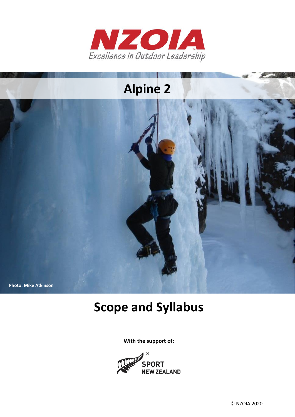



# **Scope and Syllabus**

**With the support of:**

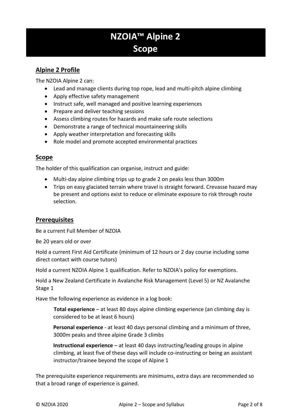# **NZOIA™ Alpine 2 Scope**

# **Alpine 2 Profile**

The NZOIA Alpine 2 can:

- Lead and manage clients during top rope, lead and multi-pitch alpine climbing
- Apply effective safety management
- Instruct safe, well managed and positive learning experiences
- Prepare and deliver teaching sessions
- Assess climbing routes for hazards and make safe route selections
- Demonstrate a range of technical mountaineering skills
- Apply weather interpretation and forecasting skills
- Role model and promote accepted environmental practices

# **Scope**

The holder of this qualification can organise, instruct and guide:

- Multi-day alpine climbing trips up to grade 2 on peaks less than 3000m
- Trips on easy glaciated terrain where travel is straight forward. Crevasse hazard may be present and options exist to reduce or eliminate exposure to risk through route selection.

# **Prerequisites**

Be a current Full Member of NZOIA

Be 20 years old or over

Hold a current First Aid Certificate (minimum of 12 hours or 2 day course including some direct contact with course tutors)

Hold a current NZOIA Alpine 1 qualification. Refer to NZOIA's policy for exemptions.

Hold a New Zealand Certificate in Avalanche Risk Management (Level 5) or NZ Avalanche Stage 1

Have the following experience as evidence in a log book:

**Total experience** – at least 80 days alpine climbing experience (an climbing day is considered to be at least 6 hours)

**Personal experience** - at least 40 days personal climbing and a minimum of three, 3000m peaks and three alpine Grade 3 climbs

**Instructional experience** – at least 40 days instructing/leading groups in alpine climbing, at least five of these days will include co-instructing or being an assistant instructor/trainee beyond the scope of Alpine 1

The prerequisite experience requirements are minimums, extra days are recommended so that a broad range of experience is gained.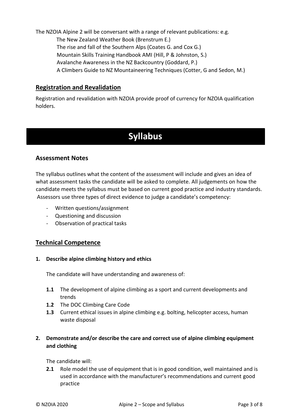The NZOIA Alpine 2 will be conversant with a range of relevant publications: e.g. The New Zealand Weather Book (Brenstrum E.) The rise and fall of the Southern Alps (Coates G. and Cox G.) Mountain Skills Training Handbook AMI (Hill, P & Johnston, S.) Avalanche Awareness in the NZ Backcountry (Goddard, P.) A Climbers Guide to NZ Mountaineering Techniques (Cotter, G and Sedon, M.)

# **Registration and Revalidation**

Registration and revalidation with NZOIA provide proof of currency for NZOIA qualification holders.

# **Syllabus**

# **Assessment Notes**

The syllabus outlines what the content of the assessment will include and gives an idea of what assessment tasks the candidate will be asked to complete. All judgements on how the candidate meets the syllabus must be based on current good practice and industry standards. Assessors use three types of direct evidence to judge a candidate's competency:

- Written questions/assignment
- Questioning and discussion
- Observation of practical tasks

# **Technical Competence**

## **1. Describe alpine climbing history and ethics**

The candidate will have understanding and awareness of:

- **1.1** The development of alpine climbing as a sport and current developments and trends
- **1.2** The DOC Climbing Care Code
- **1.3** Current ethical issues in alpine climbing e.g. bolting, helicopter access, human waste disposal

# **2. Demonstrate and/or describe the care and correct use of alpine climbing equipment and clothing**

The candidate will:

**2.1** Role model the use of equipment that is in good condition, well maintained and is used in accordance with the manufacturer's recommendations and current good practice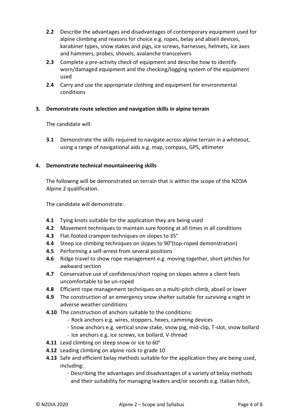- **2.2** Describe the advantages and disadvantages of contemporary equipment used for alpine climbing and reasons for choice e.g. ropes, belay and abseil devices, karabiner types, snow stakes and pigs, ice screws, harnesses, helmets, ice axes and hammers, probes, shovels, avalanche transceivers
- **2.3** Complete a pre-activity check of equipment and describe how to identify worn/damaged equipment and the checking/logging system of the equipment used
- **2.4** Carry and use the appropriate clothing and equipment for environmental conditions

## **3. Demonstrate route selection and navigation skills in alpine terrain**

The candidate will:

**3.1** Demonstrate the skills required to navigate across alpine terrain in a whiteout, using a range of navigational aids e.g. map, compass, GPS, altimeter

# **4. Demonstrate technical mountaineering skills**

The following will be demonstrated on terrain that is within the scope of the NZOIA Alpine 2 qualification.

The candidate will demonstrate:

- **4.1** Tying knots suitable for the application they are being used
- **4.2** Movement techniques to maintain sure footing at all times in all conditions
- **4.3** Flat-footed crampon techniques on slopes to 35°
- **4.4** Steep ice climbing techniques on slopes to 90°(top-roped demonstration)
- **4.5** Performing a self-arrest from several positions
- **4.6** Ridge travel to show rope management e.g. moving together, short pitches for awkward section
- **4.7** Conservative use of confidence/short roping on slopes where a client feels uncomfortable to be un-roped
- **4.8** Efficient rope management techniques on a multi-pitch climb, abseil or lower
- **4.9** The construction of an emergency snow shelter suitable for surviving a night in adverse weather conditions
- **4.10** The construction of anchors suitable to the conditions:
	- Rock anchors e.g. wires, stoppers, hexes, camming devices
	- Snow anchors e.g. vertical snow stake, snow pig, mid-clip, T-slot, snow bollard
	- Ice anchors e.g. ice screws, ice bollard, V-thread
- 4.11 Lead climbing on steep snow or ice to 60° **4.12** Leading climbing on alpine rock to grade 10
- **4.13** Safe and efficient belay methods suitable for the application they are being used, including:
	- Describing the advantages and disadvantages of a variety of belay methods and their suitability for managing leaders and/or seconds e.g. Italian hitch,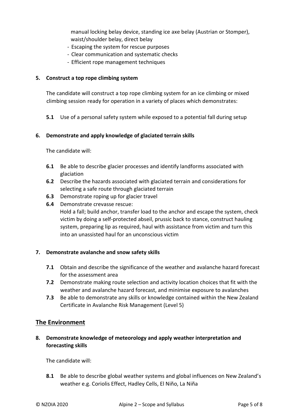manual locking belay device, standing ice axe belay (Austrian or Stomper), waist/shoulder belay, direct belay

- Escaping the system for rescue purposes
- Clear communication and systematic checks
- Efficient rope management techniques

#### **5. Construct a top rope climbing system**

The candidate will construct a top rope climbing system for an ice climbing or mixed climbing session ready for operation in a variety of places which demonstrates:

**5.1** Use of a personal safety system while exposed to a potential fall during setup

#### **6. Demonstrate and apply knowledge of glaciated terrain skills**

The candidate will:

- **6.1** Be able to describe glacier processes and identify landforms associated with glaciation
- **6.2** Describe the hazards associated with glaciated terrain and considerations for selecting a safe route through glaciated terrain
- **6.3** Demonstrate roping up for glacier travel
- **6.4** Demonstrate crevasse rescue: Hold a fall; build anchor, transfer load to the anchor and escape the system, check victim by doing a self-protected abseil, prussic back to stance, construct hauling system, preparing lip as required, haul with assistance from victim and turn this into an unassisted haul for an unconscious victim

#### **7. Demonstrate avalanche and snow safety skills**

- **7.1** Obtain and describe the significance of the weather and avalanche hazard forecast for the assessment area
- **7.2** Demonstrate making route selection and activity location choices that fit with the weather and avalanche hazard forecast, and minimise exposure to avalanches
- **7.3** Be able to demonstrate any skills or knowledge contained within the New Zealand Certificate in Avalanche Risk Management (Level 5)

## **The Environment**

**8. Demonstrate knowledge of meteorology and apply weather interpretation and forecasting skills** 

The candidate will:

**8.1** Be able to describe global weather systems and global influences on New Zealand's weather e.g. Coriolis Effect, Hadley Cells, El Niño, La Niña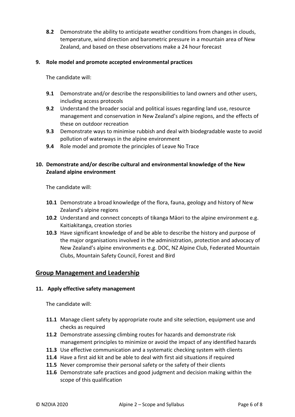**8.2** Demonstrate the ability to anticipate weather conditions from changes in clouds, temperature, wind direction and barometric pressure in a mountain area of New Zealand, and based on these observations make a 24 hour forecast

#### **9. Role model and promote accepted environmental practices**

The candidate will:

- **9.1** Demonstrate and/or describe the responsibilities to land owners and other users, including access protocols
- **9.2** Understand the broader social and political issues regarding land use, resource management and conservation in New Zealand's alpine regions, and the effects of these on outdoor recreation
- **9.3** Demonstrate ways to minimise rubbish and deal with biodegradable waste to avoid pollution of waterways in the alpine environment
- **9.4** Role model and promote the principles of Leave No Trace

# **10. Demonstrate and/or describe cultural and environmental knowledge of the New Zealand alpine environment**

The candidate will:

- **10.1** Demonstrate a broad knowledge of the flora, fauna, geology and history of New Zealand's alpine regions
- **10.2** Understand and connect concepts of tikanga Māori to the alpine environment e.g. Kaitiakitanga, creation stories
- **10.3** Have significant knowledge of and be able to describe the history and purpose of the major organisations involved in the administration, protection and advocacy of New Zealand's alpine environments e.g. DOC, NZ Alpine Club, Federated Mountain Clubs, Mountain Safety Council, Forest and Bird

# **Group Management and Leadership**

#### **11. Apply effective safety management**

The candidate will:

- **11.1** Manage client safety by appropriate route and site selection, equipment use and checks as required
- **11.2** Demonstrate assessing climbing routes for hazards and demonstrate risk management principles to minimize or avoid the impact of any identified hazards
- **11.3** Use effective communication and a systematic checking system with clients
- **11.4** Have a first aid kit and be able to deal with first aid situations if required
- **11.5** Never compromise their personal safety or the safety of their clients
- **11.6** Demonstrate safe practices and good judgment and decision making within the scope of this qualification